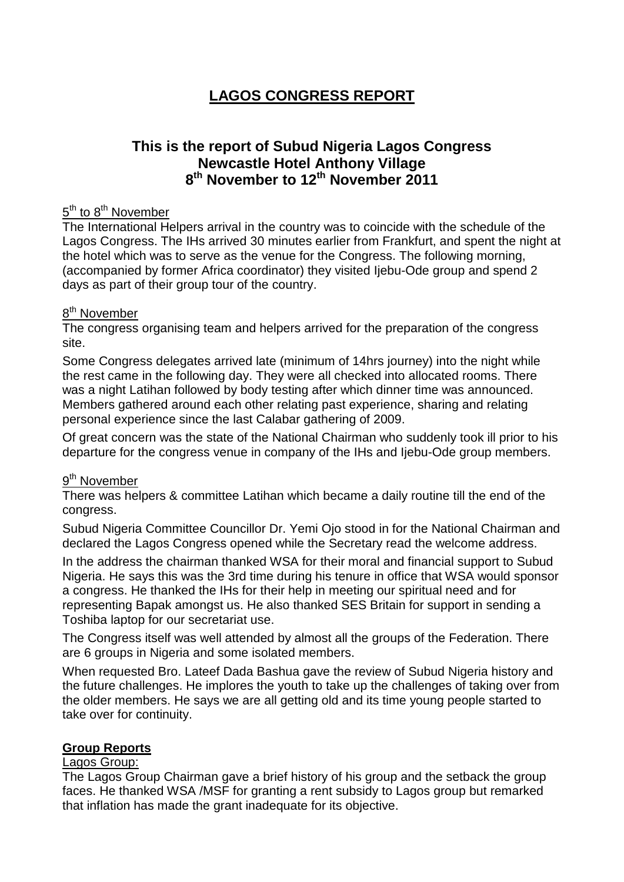# **LAGOS CONGRESS REPORT**

## **This is the report of Subud Nigeria Lagos Congress Newcastle Hotel Anthony Village 8th November to 12th November 2011**

#### 5<sup>th</sup> to 8<sup>th</sup> November

The International Helpers arrival in the country was to coincide with the schedule of the Lagos Congress. The IHs arrived 30 minutes earlier from Frankfurt, and spent the night at the hotel which was to serve as the venue for the Congress. The following morning, (accompanied by former Africa coordinator) they visited Ijebu-Ode group and spend 2 days as part of their group tour of the country.

#### 8<sup>th</sup> November

The congress organising team and helpers arrived for the preparation of the congress site.

Some Congress delegates arrived late (minimum of 14hrs journey) into the night while the rest came in the following day. They were all checked into allocated rooms. There was a night Latihan followed by body testing after which dinner time was announced. Members gathered around each other relating past experience, sharing and relating personal experience since the last Calabar gathering of 2009.

Of great concern was the state of the National Chairman who suddenly took ill prior to his departure for the congress venue in company of the IHs and Ijebu-Ode group members.

## 9<sup>th</sup> November

There was helpers & committee Latihan which became a daily routine till the end of the congress.

Subud Nigeria Committee Councillor Dr. Yemi Ojo stood in for the National Chairman and declared the Lagos Congress opened while the Secretary read the welcome address.

In the address the chairman thanked WSA for their moral and financial support to Subud Nigeria. He says this was the 3rd time during his tenure in office that WSA would sponsor a congress. He thanked the IHs for their help in meeting our spiritual need and for representing Bapak amongst us. He also thanked SES Britain for support in sending a Toshiba laptop for our secretariat use.

The Congress itself was well attended by almost all the groups of the Federation. There are 6 groups in Nigeria and some isolated members.

When requested Bro. Lateef Dada Bashua gave the review of Subud Nigeria history and the future challenges. He implores the youth to take up the challenges of taking over from the older members. He says we are all getting old and its time young people started to take over for continuity.

## **Group Reports**

#### Lagos Group:

The Lagos Group Chairman gave a brief history of his group and the setback the group faces. He thanked WSA /MSF for granting a rent subsidy to Lagos group but remarked that inflation has made the grant inadequate for its objective.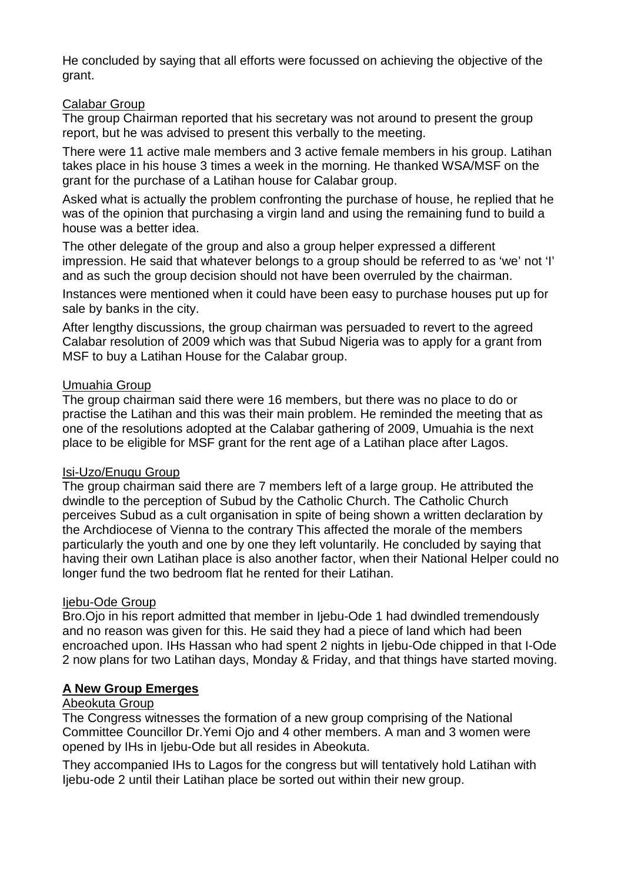He concluded by saying that all efforts were focussed on achieving the objective of the grant.

### Calabar Group

The group Chairman reported that his secretary was not around to present the group report, but he was advised to present this verbally to the meeting.

There were 11 active male members and 3 active female members in his group. Latihan takes place in his house 3 times a week in the morning. He thanked WSA/MSF on the grant for the purchase of a Latihan house for Calabar group.

Asked what is actually the problem confronting the purchase of house, he replied that he was of the opinion that purchasing a virgin land and using the remaining fund to build a house was a better idea.

The other delegate of the group and also a group helper expressed a different impression. He said that whatever belongs to a group should be referred to as 'we' not 'I' and as such the group decision should not have been overruled by the chairman.

Instances were mentioned when it could have been easy to purchase houses put up for sale by banks in the city.

After lengthy discussions, the group chairman was persuaded to revert to the agreed Calabar resolution of 2009 which was that Subud Nigeria was to apply for a grant from MSF to buy a Latihan House for the Calabar group.

### Umuahia Group

The group chairman said there were 16 members, but there was no place to do or practise the Latihan and this was their main problem. He reminded the meeting that as one of the resolutions adopted at the Calabar gathering of 2009, Umuahia is the next place to be eligible for MSF grant for the rent age of a Latihan place after Lagos.

#### Isi-Uzo/Enugu Group

The group chairman said there are 7 members left of a large group. He attributed the dwindle to the perception of Subud by the Catholic Church. The Catholic Church perceives Subud as a cult organisation in spite of being shown a written declaration by the Archdiocese of Vienna to the contrary This affected the morale of the members particularly the youth and one by one they left voluntarily. He concluded by saying that having their own Latihan place is also another factor, when their National Helper could no longer fund the two bedroom flat he rented for their Latihan.

## liebu-Ode Group

Bro.Ojo in his report admitted that member in Ijebu-Ode 1 had dwindled tremendously and no reason was given for this. He said they had a piece of land which had been encroached upon. IHs Hassan who had spent 2 nights in Ijebu-Ode chipped in that I-Ode 2 now plans for two Latihan days, Monday & Friday, and that things have started moving.

### **A New Group Emerges**

#### Abeokuta Group

The Congress witnesses the formation of a new group comprising of the National Committee Councillor Dr.Yemi Ojo and 4 other members. A man and 3 women were opened by IHs in Ijebu-Ode but all resides in Abeokuta.

They accompanied IHs to Lagos for the congress but will tentatively hold Latihan with Ijebu-ode 2 until their Latihan place be sorted out within their new group.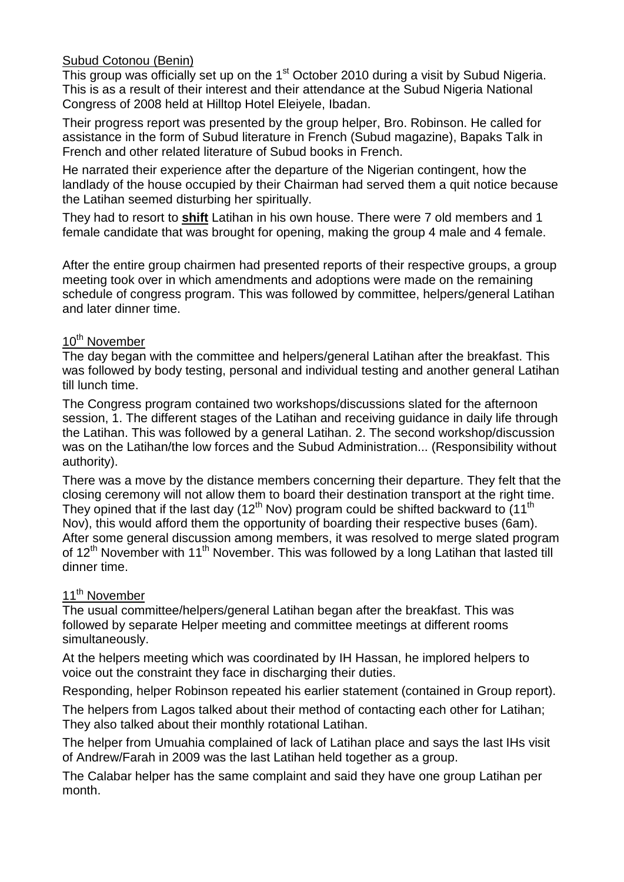## Subud Cotonou (Benin)

This group was officially set up on the  $1<sup>st</sup>$  October 2010 during a visit by Subud Nigeria. This is as a result of their interest and their attendance at the Subud Nigeria National Congress of 2008 held at Hilltop Hotel Eleiyele, Ibadan.

Their progress report was presented by the group helper, Bro. Robinson. He called for assistance in the form of Subud literature in French (Subud magazine), Bapaks Talk in French and other related literature of Subud books in French.

He narrated their experience after the departure of the Nigerian contingent, how the landlady of the house occupied by their Chairman had served them a quit notice because the Latihan seemed disturbing her spiritually.

They had to resort to **shift** Latihan in his own house. There were 7 old members and 1 female candidate that was brought for opening, making the group 4 male and 4 female.

After the entire group chairmen had presented reports of their respective groups, a group meeting took over in which amendments and adoptions were made on the remaining schedule of congress program. This was followed by committee, helpers/general Latihan and later dinner time.

### 10<sup>th</sup> November

The day began with the committee and helpers/general Latihan after the breakfast. This was followed by body testing, personal and individual testing and another general Latihan till lunch time.

The Congress program contained two workshops/discussions slated for the afternoon session, 1. The different stages of the Latihan and receiving guidance in daily life through the Latihan. This was followed by a general Latihan. 2. The second workshop/discussion was on the Latihan/the low forces and the Subud Administration... (Responsibility without authority).

There was a move by the distance members concerning their departure. They felt that the closing ceremony will not allow them to board their destination transport at the right time. They opined that if the last day (12<sup>th</sup> Nov) program could be shifted backward to  $(11<sup>th</sup>$ Nov), this would afford them the opportunity of boarding their respective buses (6am). After some general discussion among members, it was resolved to merge slated program of 12<sup>th</sup> November with 11<sup>th</sup> November. This was followed by a long Latihan that lasted till dinner time.

#### 11<sup>th</sup> November

The usual committee/helpers/general Latihan began after the breakfast. This was followed by separate Helper meeting and committee meetings at different rooms simultaneously.

At the helpers meeting which was coordinated by IH Hassan, he implored helpers to voice out the constraint they face in discharging their duties.

Responding, helper Robinson repeated his earlier statement (contained in Group report).

The helpers from Lagos talked about their method of contacting each other for Latihan; They also talked about their monthly rotational Latihan.

The helper from Umuahia complained of lack of Latihan place and says the last IHs visit of Andrew/Farah in 2009 was the last Latihan held together as a group.

The Calabar helper has the same complaint and said they have one group Latihan per month.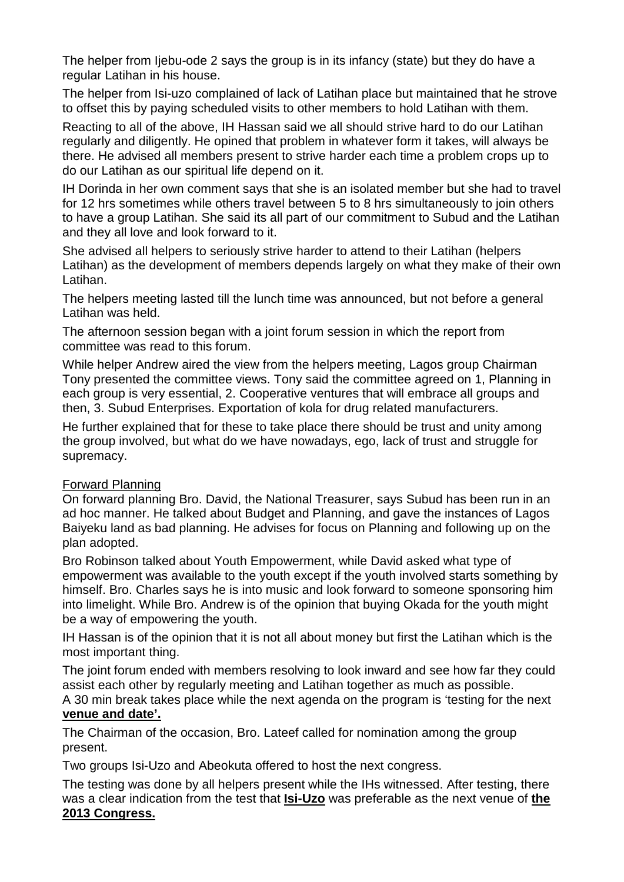The helper from Ijebu-ode 2 says the group is in its infancy (state) but they do have a regular Latihan in his house.

The helper from Isi-uzo complained of lack of Latihan place but maintained that he strove to offset this by paying scheduled visits to other members to hold Latihan with them.

Reacting to all of the above, IH Hassan said we all should strive hard to do our Latihan regularly and diligently. He opined that problem in whatever form it takes, will always be there. He advised all members present to strive harder each time a problem crops up to do our Latihan as our spiritual life depend on it.

IH Dorinda in her own comment says that she is an isolated member but she had to travel for 12 hrs sometimes while others travel between 5 to 8 hrs simultaneously to join others to have a group Latihan. She said its all part of our commitment to Subud and the Latihan and they all love and look forward to it.

She advised all helpers to seriously strive harder to attend to their Latihan (helpers Latihan) as the development of members depends largely on what they make of their own Latihan.

The helpers meeting lasted till the lunch time was announced, but not before a general Latihan was held.

The afternoon session began with a joint forum session in which the report from committee was read to this forum.

While helper Andrew aired the view from the helpers meeting, Lagos group Chairman Tony presented the committee views. Tony said the committee agreed on 1, Planning in each group is very essential, 2. Cooperative ventures that will embrace all groups and then, 3. Subud Enterprises. Exportation of kola for drug related manufacturers.

He further explained that for these to take place there should be trust and unity among the group involved, but what do we have nowadays, ego, lack of trust and struggle for supremacy.

#### Forward Planning

On forward planning Bro. David, the National Treasurer, says Subud has been run in an ad hoc manner. He talked about Budget and Planning, and gave the instances of Lagos Baiyeku land as bad planning. He advises for focus on Planning and following up on the plan adopted.

Bro Robinson talked about Youth Empowerment, while David asked what type of empowerment was available to the youth except if the youth involved starts something by himself. Bro. Charles says he is into music and look forward to someone sponsoring him into limelight. While Bro. Andrew is of the opinion that buying Okada for the youth might be a way of empowering the youth.

IH Hassan is of the opinion that it is not all about money but first the Latihan which is the most important thing.

The joint forum ended with members resolving to look inward and see how far they could assist each other by regularly meeting and Latihan together as much as possible.

A 30 min break takes place while the next agenda on the program is 'testing for the next **venue and date'.**

The Chairman of the occasion, Bro. Lateef called for nomination among the group present.

Two groups Isi-Uzo and Abeokuta offered to host the next congress.

The testing was done by all helpers present while the IHs witnessed. After testing, there was a clear indication from the test that **Isi-Uzo** was preferable as the next venue of **the 2013 Congress.**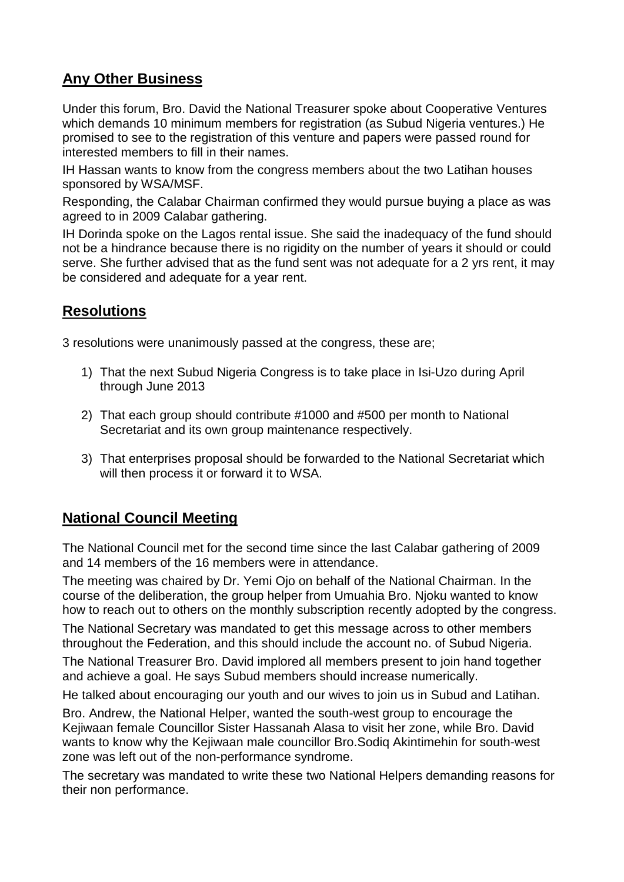## **Any Other Business**

Under this forum, Bro. David the National Treasurer spoke about Cooperative Ventures which demands 10 minimum members for registration (as Subud Nigeria ventures.) He promised to see to the registration of this venture and papers were passed round for interested members to fill in their names.

IH Hassan wants to know from the congress members about the two Latihan houses sponsored by WSA/MSF.

Responding, the Calabar Chairman confirmed they would pursue buying a place as was agreed to in 2009 Calabar gathering.

IH Dorinda spoke on the Lagos rental issue. She said the inadequacy of the fund should not be a hindrance because there is no rigidity on the number of years it should or could serve. She further advised that as the fund sent was not adequate for a 2 yrs rent, it may be considered and adequate for a year rent.

## **Resolutions**

3 resolutions were unanimously passed at the congress, these are;

- 1) That the next Subud Nigeria Congress is to take place in Isi-Uzo during April through June 2013
- 2) That each group should contribute #1000 and #500 per month to National Secretariat and its own group maintenance respectively.
- 3) That enterprises proposal should be forwarded to the National Secretariat which will then process it or forward it to WSA.

## **National Council Meeting**

The National Council met for the second time since the last Calabar gathering of 2009 and 14 members of the 16 members were in attendance.

The meeting was chaired by Dr. Yemi Ojo on behalf of the National Chairman. In the course of the deliberation, the group helper from Umuahia Bro. Njoku wanted to know how to reach out to others on the monthly subscription recently adopted by the congress.

The National Secretary was mandated to get this message across to other members throughout the Federation, and this should include the account no. of Subud Nigeria.

The National Treasurer Bro. David implored all members present to join hand together and achieve a goal. He says Subud members should increase numerically.

He talked about encouraging our youth and our wives to join us in Subud and Latihan.

Bro. Andrew, the National Helper, wanted the south-west group to encourage the Kejiwaan female Councillor Sister Hassanah Alasa to visit her zone, while Bro. David wants to know why the Kejiwaan male councillor Bro.Sodiq Akintimehin for south-west zone was left out of the non-performance syndrome.

The secretary was mandated to write these two National Helpers demanding reasons for their non performance.